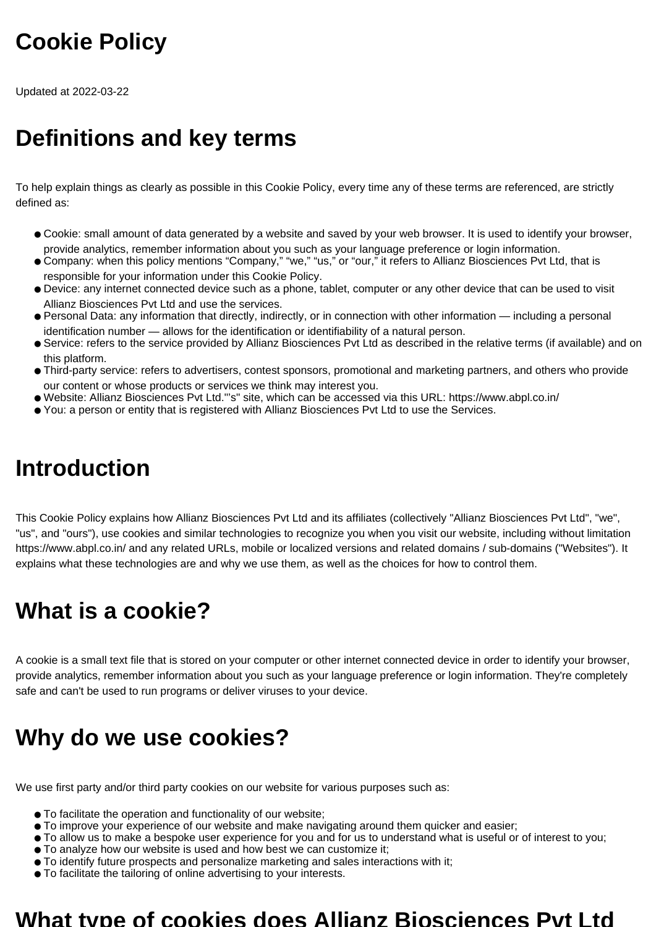## **Cookie Policy**

Updated at 2022-03-22

## **Definitions and key terms**

To help explain things as clearly as possible in this Cookie Policy, every time any of these terms are referenced, are strictly defined as:

- Cookie: small amount of data generated by a website and saved by your web browser. It is used to identify your browser, provide analytics, remember information about you such as your language preference or login information.
- Company: when this policy mentions "Company," "we," "us," or "our," it refers to Allianz Biosciences Pvt Ltd, that is responsible for your information under this Cookie Policy.
- Device: any internet connected device such as a phone, tablet, computer or any other device that can be used to visit Allianz Biosciences Pvt Ltd and use the services.
- Personal Data: any information that directly, indirectly, or in connection with other information including a personal identification number — allows for the identification or identifiability of a natural person.
- Service: refers to the service provided by Allianz Biosciences Pvt Ltd as described in the relative terms (if available) and on this platform.
- Third-party service: refers to advertisers, contest sponsors, promotional and marketing partners, and others who provide our content or whose products or services we think may interest you.
- Website: Allianz Biosciences Pvt Ltd."'s" site, which can be accessed via this URL: https://www.abpl.co.in/
- You: a person or entity that is registered with Allianz Biosciences Pvt Ltd to use the Services.

## **Introduction**

This Cookie Policy explains how Allianz Biosciences Pvt Ltd and its affiliates (collectively "Allianz Biosciences Pvt Ltd", "we", "us", and "ours"), use cookies and similar technologies to recognize you when you visit our website, including without limitation https://www.abpl.co.in/ and any related URLs, mobile or localized versions and related domains / sub-domains ("Websites"). It explains what these technologies are and why we use them, as well as the choices for how to control them.

## **What is a cookie?**

A cookie is a small text file that is stored on your computer or other internet connected device in order to identify your browser, provide analytics, remember information about you such as your language preference or login information. They're completely safe and can't be used to run programs or deliver viruses to your device.

## **Why do we use cookies?**

We use first party and/or third party cookies on our website for various purposes such as:

- To facilitate the operation and functionality of our website;
- To improve your experience of our website and make navigating around them quicker and easier;
- To allow us to make a bespoke user experience for you and for us to understand what is useful or of interest to you;
- To analyze how our website is used and how best we can customize it;
- To identify future prospects and personalize marketing and sales interactions with it;
- To facilitate the tailoring of online advertising to your interests.

#### **What type of cookies does Allianz Biosciences Pvt Ltd**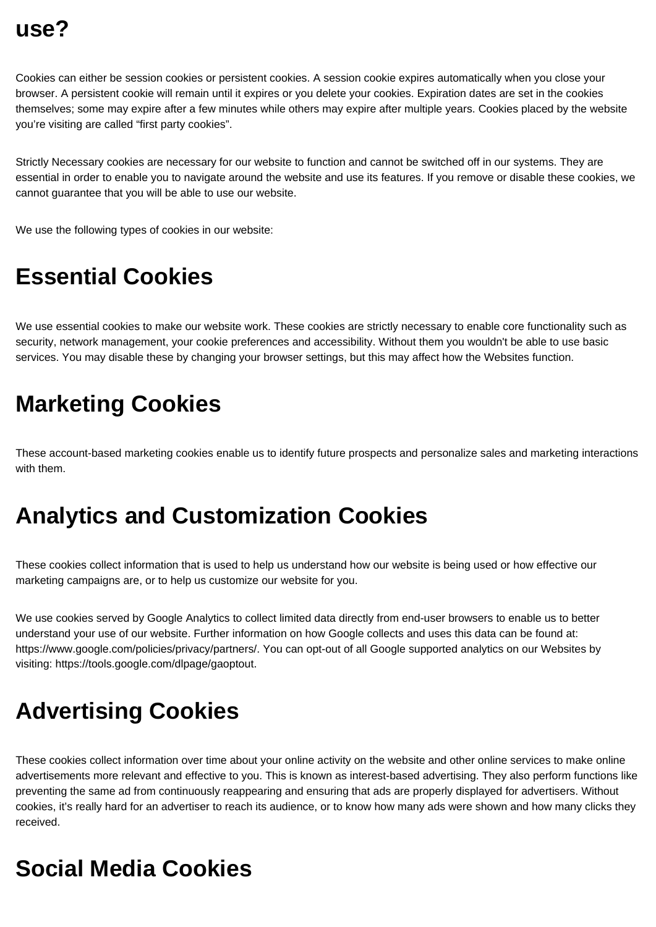Cookies can either be session cookies or persistent cookies. A session cookie expires automatically when you close your browser. A persistent cookie will remain until it expires or you delete your cookies. Expiration dates are set in the cookies themselves; some may expire after a few minutes while others may expire after multiple years. Cookies placed by the website you're visiting are called "first party cookies".

Strictly Necessary cookies are necessary for our website to function and cannot be switched off in our systems. They are essential in order to enable you to navigate around the website and use its features. If you remove or disable these cookies, we cannot guarantee that you will be able to use our website.

We use the following types of cookies in our website:

#### **Essential Cookies**

We use essential cookies to make our website work. These cookies are strictly necessary to enable core functionality such as security, network management, your cookie preferences and accessibility. Without them you wouldn't be able to use basic services. You may disable these by changing your browser settings, but this may affect how the Websites function.

## **Marketing Cookies**

These account-based marketing cookies enable us to identify future prospects and personalize sales and marketing interactions with them.

#### **Analytics and Customization Cookies**

These cookies collect information that is used to help us understand how our website is being used or how effective our marketing campaigns are, or to help us customize our website for you.

We use cookies served by Google Analytics to collect limited data directly from end-user browsers to enable us to better understand your use of our website. Further information on how Google collects and uses this data can be found at: https://www.google.com/policies/privacy/partners/. You can opt-out of all Google supported analytics on our Websites by visiting: https://tools.google.com/dlpage/gaoptout.

## **Advertising Cookies**

These cookies collect information over time about your online activity on the website and other online services to make online advertisements more relevant and effective to you. This is known as interest-based advertising. They also perform functions like preventing the same ad from continuously reappearing and ensuring that ads are properly displayed for advertisers. Without cookies, it's really hard for an advertiser to reach its audience, or to know how many ads were shown and how many clicks they received.

## **Social Media Cookies**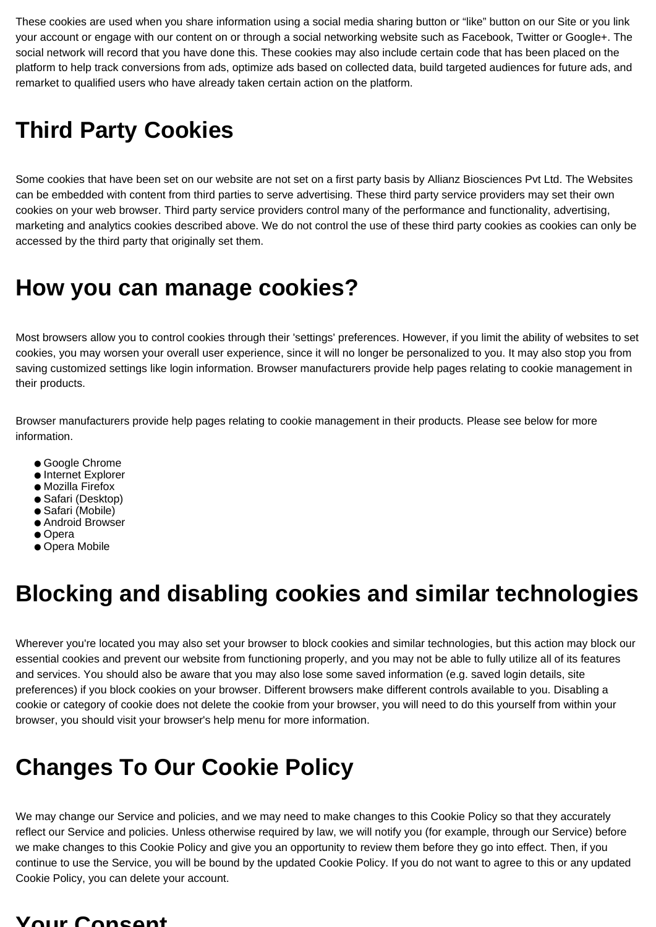These cookies are used when you share information using a social media sharing button or "like" button on our Site or you link your account or engage with our content on or through a social networking website such as Facebook, Twitter or Google+. The social network will record that you have done this. These cookies may also include certain code that has been placed on the platform to help track conversions from ads, optimize ads based on collected data, build targeted audiences for future ads, and remarket to qualified users who have already taken certain action on the platform.

## **Third Party Cookies**

Some cookies that have been set on our website are not set on a first party basis by Allianz Biosciences Pvt Ltd. The Websites can be embedded with content from third parties to serve advertising. These third party service providers may set their own cookies on your web browser. Third party service providers control many of the performance and functionality, advertising, marketing and analytics cookies described above. We do not control the use of these third party cookies as cookies can only be accessed by the third party that originally set them.

#### **How you can manage cookies?**

Most browsers allow you to control cookies through their 'settings' preferences. However, if you limit the ability of websites to set cookies, you may worsen your overall user experience, since it will no longer be personalized to you. It may also stop you from saving customized settings like login information. Browser manufacturers provide help pages relating to cookie management in their products.

Browser manufacturers provide help pages relating to cookie management in their products. Please see below for more information.

- Google Chrome
- Internet Explorer
- Mozilla Firefox
- Safari (Desktop)
- Safari (Mobile)
- Android Browser
- Opera
- Opera Mobile

## **Blocking and disabling cookies and similar technologies**

Wherever you're located you may also set your browser to block cookies and similar technologies, but this action may block our essential cookies and prevent our website from functioning properly, and you may not be able to fully utilize all of its features and services. You should also be aware that you may also lose some saved information (e.g. saved login details, site preferences) if you block cookies on your browser. Different browsers make different controls available to you. Disabling a cookie or category of cookie does not delete the cookie from your browser, you will need to do this yourself from within your browser, you should visit your browser's help menu for more information.

## **Changes To Our Cookie Policy**

We may change our Service and policies, and we may need to make changes to this Cookie Policy so that they accurately reflect our Service and policies. Unless otherwise required by law, we will notify you (for example, through our Service) before we make changes to this Cookie Policy and give you an opportunity to review them before they go into effect. Then, if you continue to use the Service, you will be bound by the updated Cookie Policy. If you do not want to agree to this or any updated Cookie Policy, you can delete your account.

#### **Your Consent**